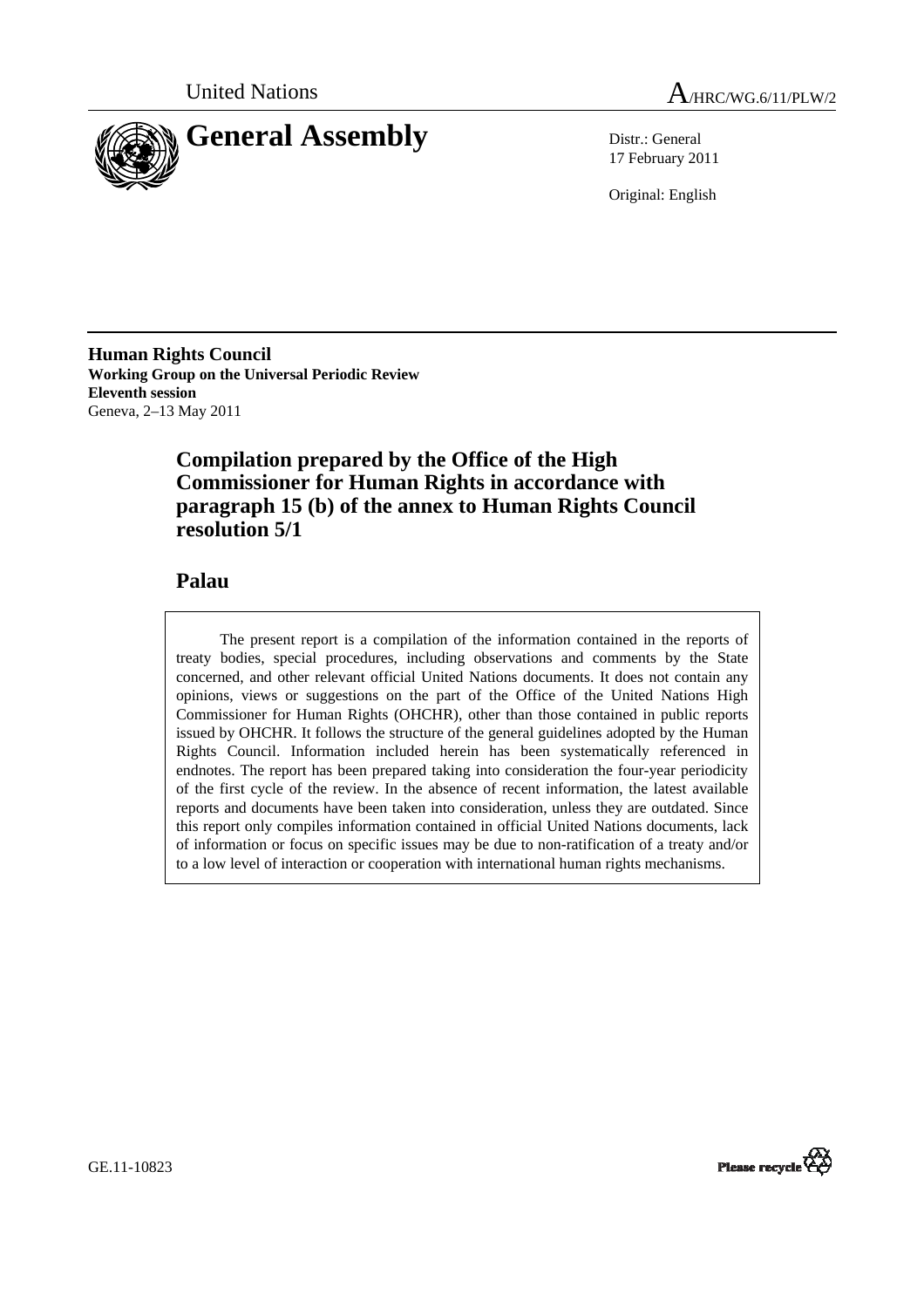



17 February 2011

Original: English

**Human Rights Council Working Group on the Universal Periodic Review Eleventh session**  Geneva, 2–13 May 2011

# **Compilation prepared by the Office of the High Commissioner for Human Rights in accordance with paragraph 15 (b) of the annex to Human Rights Council resolution 5/1**

## **Palau**

The present report is a compilation of the information contained in the reports of treaty bodies, special procedures, including observations and comments by the State concerned, and other relevant official United Nations documents. It does not contain any opinions, views or suggestions on the part of the Office of the United Nations High Commissioner for Human Rights (OHCHR), other than those contained in public reports issued by OHCHR. It follows the structure of the general guidelines adopted by the Human Rights Council. Information included herein has been systematically referenced in endnotes. The report has been prepared taking into consideration the four-year periodicity of the first cycle of the review. In the absence of recent information, the latest available reports and documents have been taken into consideration, unless they are outdated. Since this report only compiles information contained in official United Nations documents, lack of information or focus on specific issues may be due to non-ratification of a treaty and/or to a low level of interaction or cooperation with international human rights mechanisms.

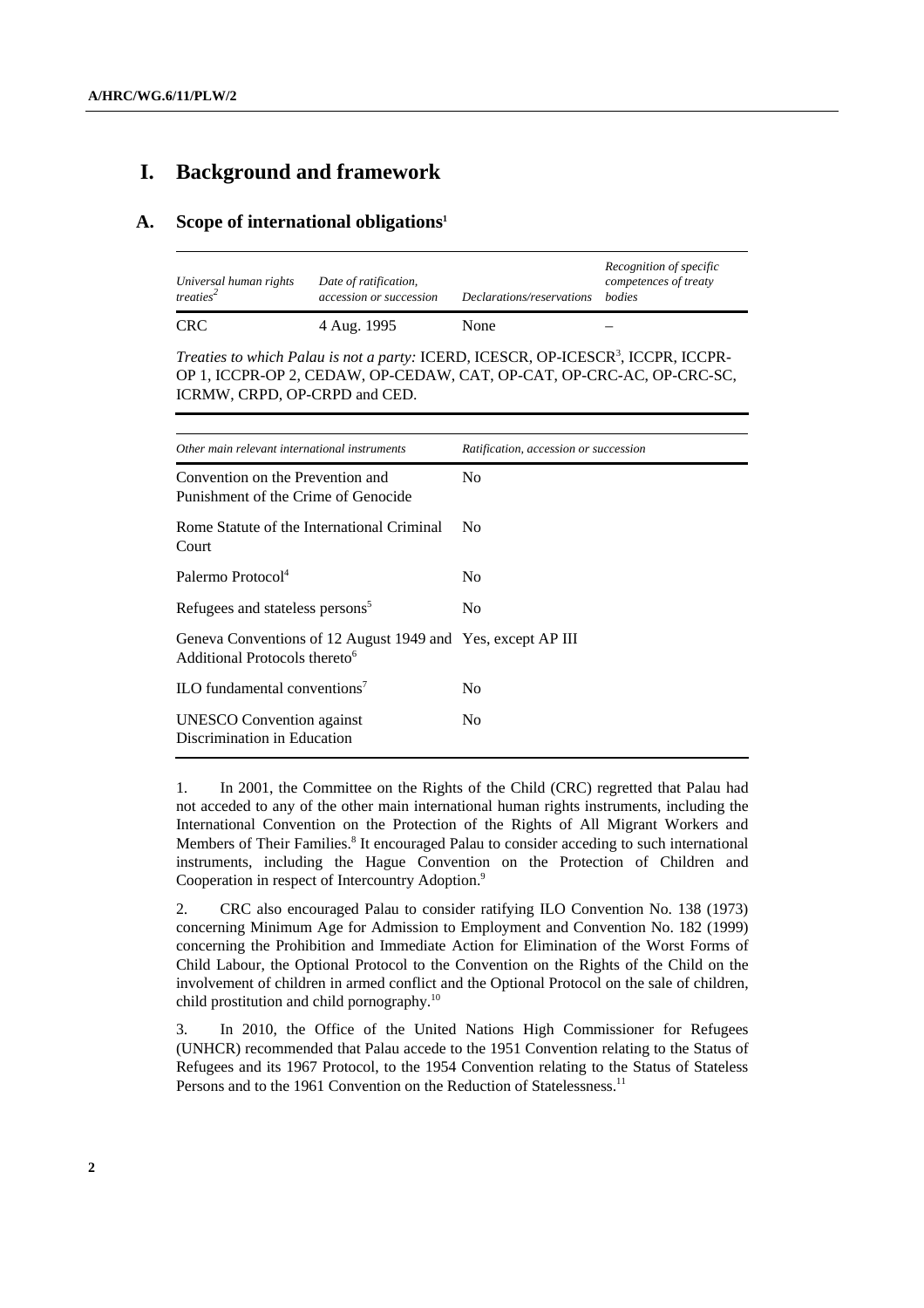## **I. Background and framework**

### **A. Scope of international obligations1**

| Universal human rights<br>treaties <sup>2</sup> | Date of ratification,<br>accession or succession | Declarations/reservations | Recognition of specific<br>competences of treaty<br><i>hodies</i> |
|-------------------------------------------------|--------------------------------------------------|---------------------------|-------------------------------------------------------------------|
| <b>CRC</b>                                      | 4 Aug. 1995                                      | None                      |                                                                   |

Treaties to which Palau is not a party: ICERD, ICESCR, OP-ICESCR<sup>3</sup>, ICCPR, ICCPR-OP 1, ICCPR-OP 2, CEDAW, OP-CEDAW, CAT, OP-CAT, OP-CRC-AC, OP-CRC-SC, ICRMW, CRPD, OP-CRPD and CED.

| Other main relevant international instruments                                                            | Ratification, accession or succession |
|----------------------------------------------------------------------------------------------------------|---------------------------------------|
| Convention on the Prevention and<br>Punishment of the Crime of Genocide                                  | N <sub>0</sub>                        |
| Rome Statute of the International Criminal<br>Court                                                      | N <sub>0</sub>                        |
| Palermo Protocol <sup>4</sup>                                                                            | N <sub>0</sub>                        |
| Refugees and stateless persons <sup>5</sup>                                                              | N <sub>0</sub>                        |
| Geneva Conventions of 12 August 1949 and Yes, except AP III<br>Additional Protocols thereto <sup>6</sup> |                                       |
| ILO fundamental conventions <sup>7</sup>                                                                 | No                                    |
| <b>UNESCO</b> Convention against<br>Discrimination in Education                                          | N <sub>0</sub>                        |

1. In 2001, the Committee on the Rights of the Child (CRC) regretted that Palau had not acceded to any of the other main international human rights instruments, including the International Convention on the Protection of the Rights of All Migrant Workers and Members of Their Families.<sup>8</sup> It encouraged Palau to consider acceding to such international instruments, including the Hague Convention on the Protection of Children and Cooperation in respect of Intercountry Adoption.<sup>9</sup>

2. CRC also encouraged Palau to consider ratifying ILO Convention No. 138 (1973) concerning Minimum Age for Admission to Employment and Convention No. 182 (1999) concerning the Prohibition and Immediate Action for Elimination of the Worst Forms of Child Labour, the Optional Protocol to the Convention on the Rights of the Child on the involvement of children in armed conflict and the Optional Protocol on the sale of children, child prostitution and child pornography.<sup>10</sup>

3. In 2010, the Office of the United Nations High Commissioner for Refugees (UNHCR) recommended that Palau accede to the 1951 Convention relating to the Status of Refugees and its 1967 Protocol, to the 1954 Convention relating to the Status of Stateless Persons and to the 1961 Convention on the Reduction of Statelessness.<sup>11</sup>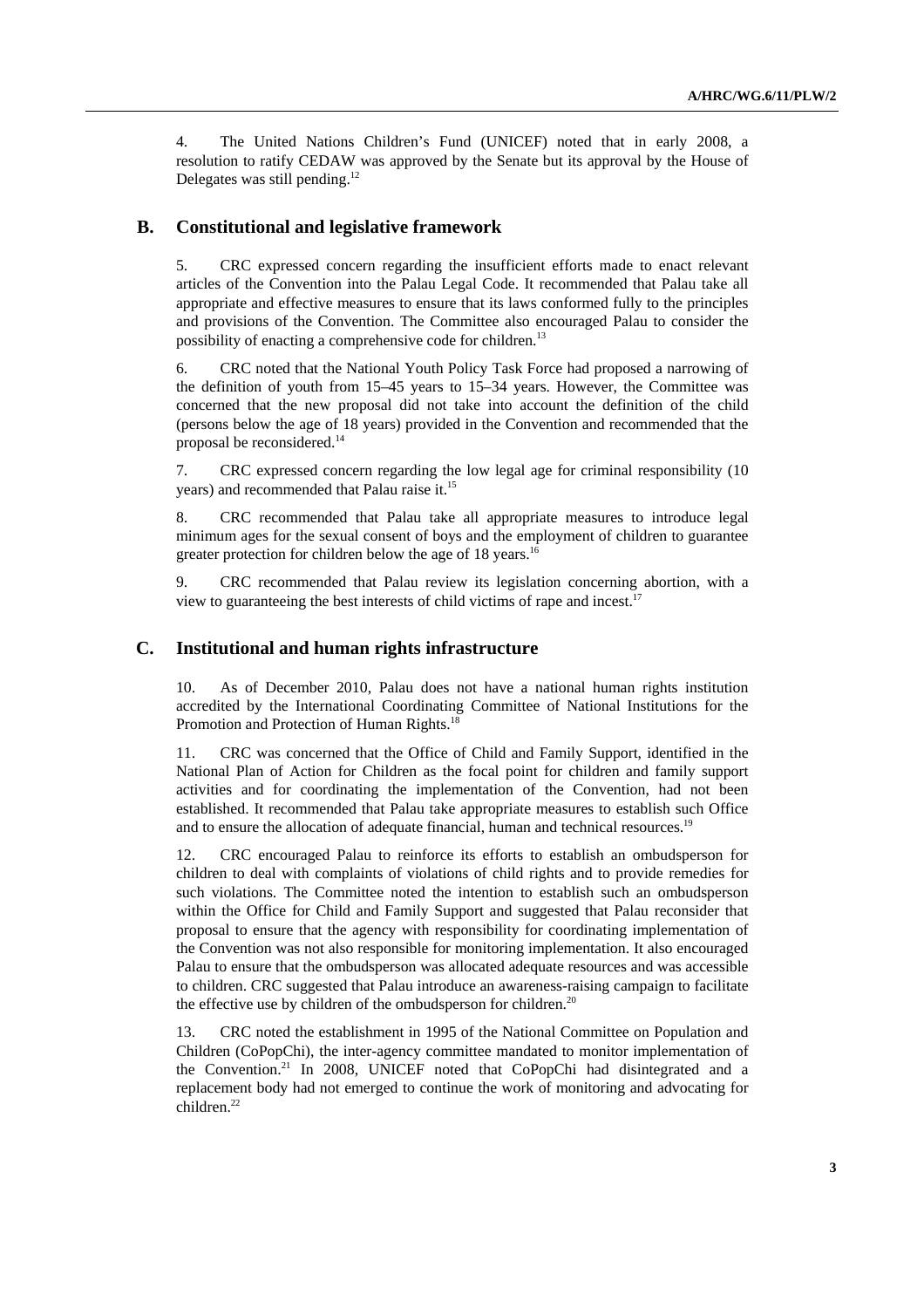4. The United Nations Children's Fund (UNICEF) noted that in early 2008, a resolution to ratify CEDAW was approved by the Senate but its approval by the House of Delegates was still pending.<sup>12</sup>

### **B. Constitutional and legislative framework**

5. CRC expressed concern regarding the insufficient efforts made to enact relevant articles of the Convention into the Palau Legal Code. It recommended that Palau take all appropriate and effective measures to ensure that its laws conformed fully to the principles and provisions of the Convention. The Committee also encouraged Palau to consider the possibility of enacting a comprehensive code for children.<sup>13</sup>

6. CRC noted that the National Youth Policy Task Force had proposed a narrowing of the definition of youth from 15–45 years to 15–34 years. However, the Committee was concerned that the new proposal did not take into account the definition of the child (persons below the age of 18 years) provided in the Convention and recommended that the proposal be reconsidered.<sup>14</sup>

7. CRC expressed concern regarding the low legal age for criminal responsibility (10 years) and recommended that Palau raise it.15

8. CRC recommended that Palau take all appropriate measures to introduce legal minimum ages for the sexual consent of boys and the employment of children to guarantee greater protection for children below the age of 18 years.<sup>16</sup>

9. CRC recommended that Palau review its legislation concerning abortion, with a view to guaranteeing the best interests of child victims of rape and incest.<sup>1</sup>

### **C. Institutional and human rights infrastructure**

10. As of December 2010, Palau does not have a national human rights institution accredited by the International Coordinating Committee of National Institutions for the Promotion and Protection of Human Rights.<sup>18</sup>

11. CRC was concerned that the Office of Child and Family Support, identified in the National Plan of Action for Children as the focal point for children and family support activities and for coordinating the implementation of the Convention, had not been established. It recommended that Palau take appropriate measures to establish such Office and to ensure the allocation of adequate financial, human and technical resources.19

12. CRC encouraged Palau to reinforce its efforts to establish an ombudsperson for children to deal with complaints of violations of child rights and to provide remedies for such violations. The Committee noted the intention to establish such an ombudsperson within the Office for Child and Family Support and suggested that Palau reconsider that proposal to ensure that the agency with responsibility for coordinating implementation of the Convention was not also responsible for monitoring implementation. It also encouraged Palau to ensure that the ombudsperson was allocated adequate resources and was accessible to children. CRC suggested that Palau introduce an awareness-raising campaign to facilitate the effective use by children of the ombudsperson for children.<sup>20</sup>

13. CRC noted the establishment in 1995 of the National Committee on Population and Children (CoPopChi), the inter-agency committee mandated to monitor implementation of the Convention.21 In 2008, UNICEF noted that CoPopChi had disintegrated and a replacement body had not emerged to continue the work of monitoring and advocating for children.<sup>22</sup>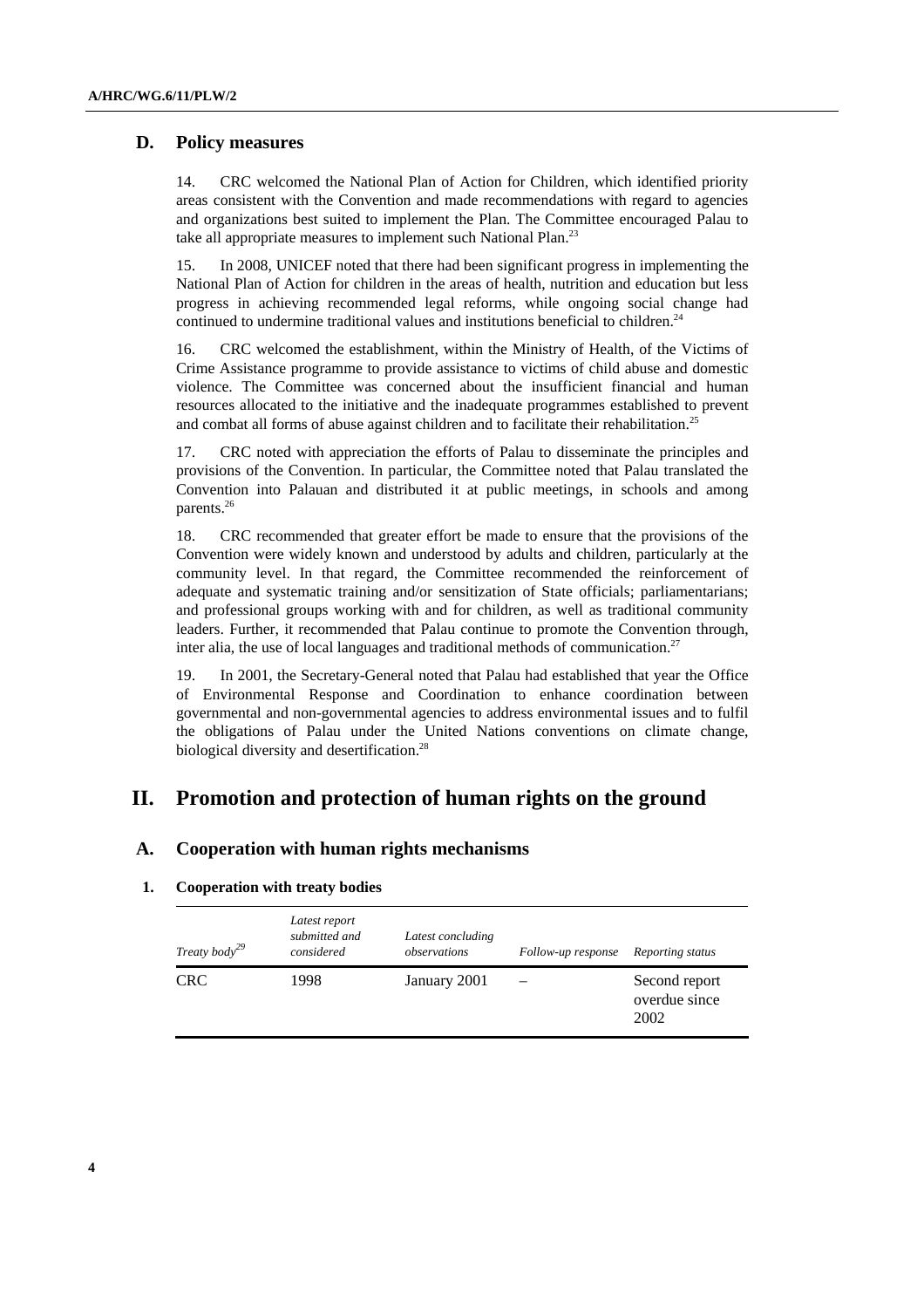## **D. Policy measures**

14. CRC welcomed the National Plan of Action for Children, which identified priority areas consistent with the Convention and made recommendations with regard to agencies and organizations best suited to implement the Plan. The Committee encouraged Palau to take all appropriate measures to implement such National Plan.<sup>23</sup>

15. In 2008, UNICEF noted that there had been significant progress in implementing the National Plan of Action for children in the areas of health, nutrition and education but less progress in achieving recommended legal reforms, while ongoing social change had continued to undermine traditional values and institutions beneficial to children.<sup>24</sup>

16. CRC welcomed the establishment, within the Ministry of Health, of the Victims of Crime Assistance programme to provide assistance to victims of child abuse and domestic violence. The Committee was concerned about the insufficient financial and human resources allocated to the initiative and the inadequate programmes established to prevent and combat all forms of abuse against children and to facilitate their rehabilitation.<sup>25</sup>

17. CRC noted with appreciation the efforts of Palau to disseminate the principles and provisions of the Convention. In particular, the Committee noted that Palau translated the Convention into Palauan and distributed it at public meetings, in schools and among parents.<sup>26</sup>

18. CRC recommended that greater effort be made to ensure that the provisions of the Convention were widely known and understood by adults and children, particularly at the community level. In that regard, the Committee recommended the reinforcement of adequate and systematic training and/or sensitization of State officials; parliamentarians; and professional groups working with and for children, as well as traditional community leaders. Further, it recommended that Palau continue to promote the Convention through, inter alia, the use of local languages and traditional methods of communication.<sup>27</sup>

19. In 2001, the Secretary-General noted that Palau had established that year the Office of Environmental Response and Coordination to enhance coordination between governmental and non-governmental agencies to address environmental issues and to fulfil the obligations of Palau under the United Nations conventions on climate change, biological diversity and desertification.<sup>28</sup>

## **II. Promotion and protection of human rights on the ground**

### **A. Cooperation with human rights mechanisms**

#### **1. Cooperation with treaty bodies**

| Treaty body <sup>29</sup> | Latest report<br>submitted and<br>considered | Latest concluding<br>observations | Follow-up response | Reporting status                       |
|---------------------------|----------------------------------------------|-----------------------------------|--------------------|----------------------------------------|
| <b>CRC</b>                | 1998                                         | January 2001                      |                    | Second report<br>overdue since<br>2002 |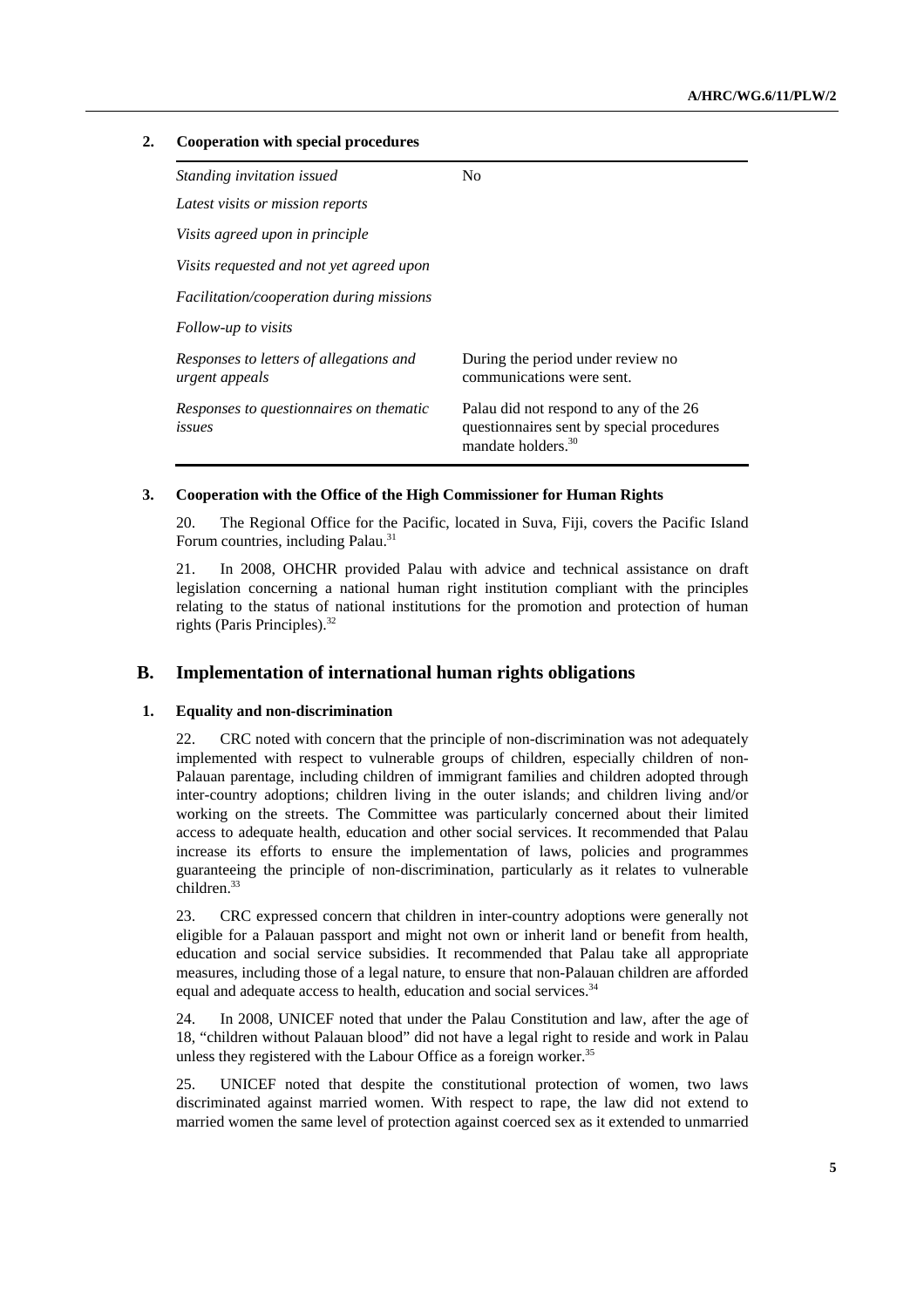#### **2. Cooperation with special procedures**

| Standing invitation issued                                | N <sub>0</sub>                                                                                                        |
|-----------------------------------------------------------|-----------------------------------------------------------------------------------------------------------------------|
| Latest visits or mission reports                          |                                                                                                                       |
| Visits agreed upon in principle                           |                                                                                                                       |
| Visits requested and not yet agreed upon                  |                                                                                                                       |
| Facilitation/cooperation during missions                  |                                                                                                                       |
| Follow-up to visits                                       |                                                                                                                       |
| Responses to letters of allegations and<br>urgent appeals | During the period under review no<br>communications were sent.                                                        |
| Responses to questionnaires on thematic<br>issues         | Palau did not respond to any of the 26<br>questionnaires sent by special procedures<br>mandate holders. <sup>30</sup> |

#### **3. Cooperation with the Office of the High Commissioner for Human Rights**

20. The Regional Office for the Pacific, located in Suva, Fiji, covers the Pacific Island Forum countries, including Palau.<sup>31</sup>

21. In 2008, OHCHR provided Palau with advice and technical assistance on draft legislation concerning a national human right institution compliant with the principles relating to the status of national institutions for the promotion and protection of human rights (Paris Principles).<sup>32</sup>

## **B. Implementation of international human rights obligations**

#### **1. Equality and non-discrimination**

22. CRC noted with concern that the principle of non-discrimination was not adequately implemented with respect to vulnerable groups of children, especially children of non-Palauan parentage, including children of immigrant families and children adopted through inter-country adoptions; children living in the outer islands; and children living and/or working on the streets. The Committee was particularly concerned about their limited access to adequate health, education and other social services. It recommended that Palau increase its efforts to ensure the implementation of laws, policies and programmes guaranteeing the principle of non-discrimination, particularly as it relates to vulnerable children.<sup>33</sup>

23. CRC expressed concern that children in inter-country adoptions were generally not eligible for a Palauan passport and might not own or inherit land or benefit from health, education and social service subsidies. It recommended that Palau take all appropriate measures, including those of a legal nature, to ensure that non-Palauan children are afforded equal and adequate access to health, education and social services.<sup>34</sup>

24. In 2008, UNICEF noted that under the Palau Constitution and law, after the age of 18, "children without Palauan blood" did not have a legal right to reside and work in Palau unless they registered with the Labour Office as a foreign worker.<sup>35</sup>

25. UNICEF noted that despite the constitutional protection of women, two laws discriminated against married women. With respect to rape, the law did not extend to married women the same level of protection against coerced sex as it extended to unmarried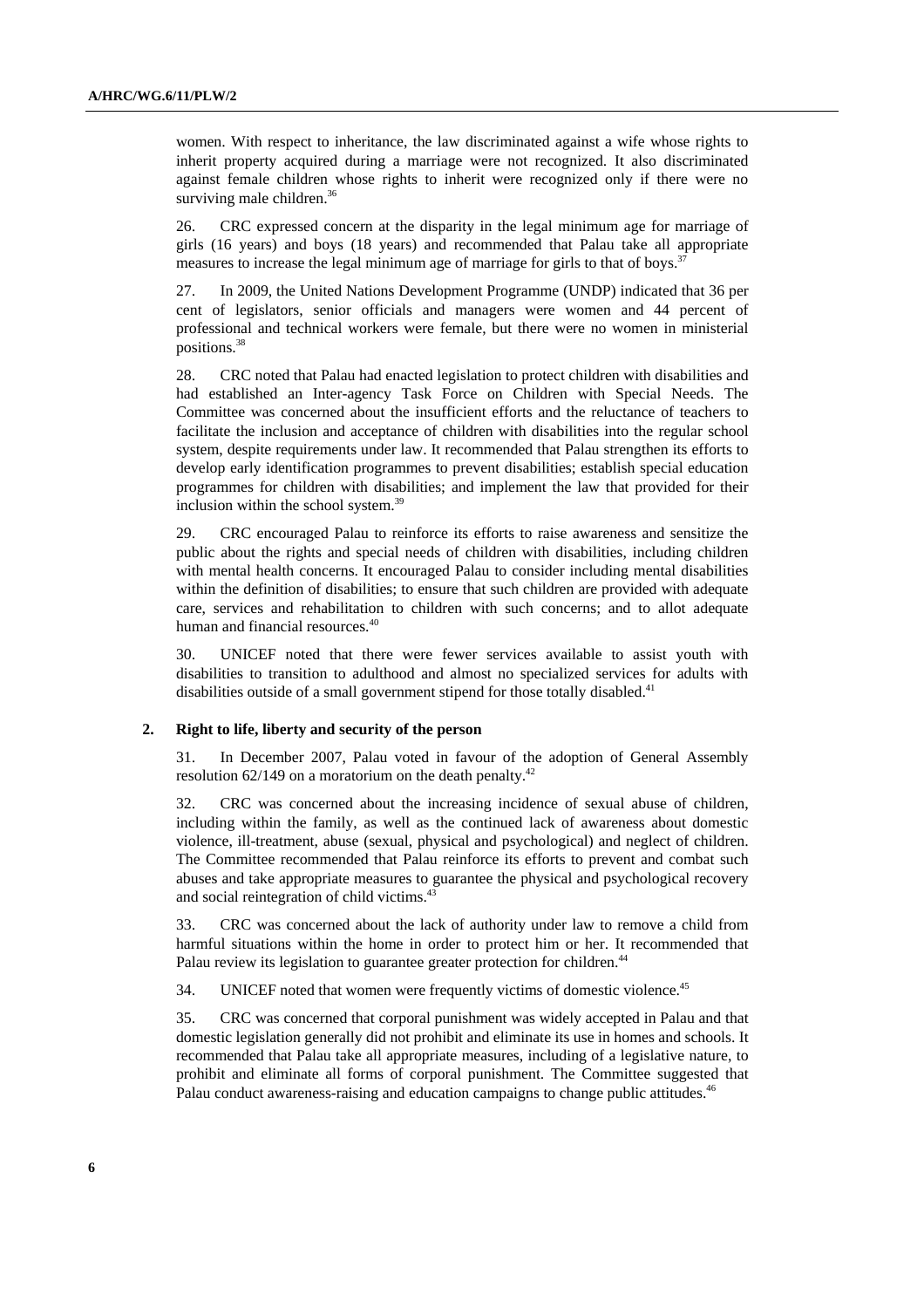women. With respect to inheritance, the law discriminated against a wife whose rights to inherit property acquired during a marriage were not recognized. It also discriminated against female children whose rights to inherit were recognized only if there were no surviving male children.<sup>36</sup>

26. CRC expressed concern at the disparity in the legal minimum age for marriage of girls (16 years) and boys (18 years) and recommended that Palau take all appropriate measures to increase the legal minimum age of marriage for girls to that of boys.<sup>37</sup>

27. In 2009, the United Nations Development Programme (UNDP) indicated that 36 per cent of legislators, senior officials and managers were women and 44 percent of professional and technical workers were female, but there were no women in ministerial positions.38

28. CRC noted that Palau had enacted legislation to protect children with disabilities and had established an Inter-agency Task Force on Children with Special Needs. The Committee was concerned about the insufficient efforts and the reluctance of teachers to facilitate the inclusion and acceptance of children with disabilities into the regular school system, despite requirements under law. It recommended that Palau strengthen its efforts to develop early identification programmes to prevent disabilities; establish special education programmes for children with disabilities; and implement the law that provided for their inclusion within the school system.39

29. CRC encouraged Palau to reinforce its efforts to raise awareness and sensitize the public about the rights and special needs of children with disabilities, including children with mental health concerns. It encouraged Palau to consider including mental disabilities within the definition of disabilities; to ensure that such children are provided with adequate care, services and rehabilitation to children with such concerns; and to allot adequate human and financial resources.<sup>40</sup>

30. UNICEF noted that there were fewer services available to assist youth with disabilities to transition to adulthood and almost no specialized services for adults with disabilities outside of a small government stipend for those totally disabled.<sup>41</sup>

#### **2. Right to life, liberty and security of the person**

31. In December 2007, Palau voted in favour of the adoption of General Assembly resolution  $62/149$  on a moratorium on the death penalty.<sup>42</sup>

32. CRC was concerned about the increasing incidence of sexual abuse of children, including within the family, as well as the continued lack of awareness about domestic violence, ill-treatment, abuse (sexual, physical and psychological) and neglect of children. The Committee recommended that Palau reinforce its efforts to prevent and combat such abuses and take appropriate measures to guarantee the physical and psychological recovery and social reintegration of child victims.<sup>43</sup>

33. CRC was concerned about the lack of authority under law to remove a child from harmful situations within the home in order to protect him or her. It recommended that Palau review its legislation to guarantee greater protection for children.<sup>44</sup>

34. UNICEF noted that women were frequently victims of domestic violence.<sup>45</sup>

35. CRC was concerned that corporal punishment was widely accepted in Palau and that domestic legislation generally did not prohibit and eliminate its use in homes and schools. It recommended that Palau take all appropriate measures, including of a legislative nature, to prohibit and eliminate all forms of corporal punishment. The Committee suggested that Palau conduct awareness-raising and education campaigns to change public attitudes.<sup>46</sup>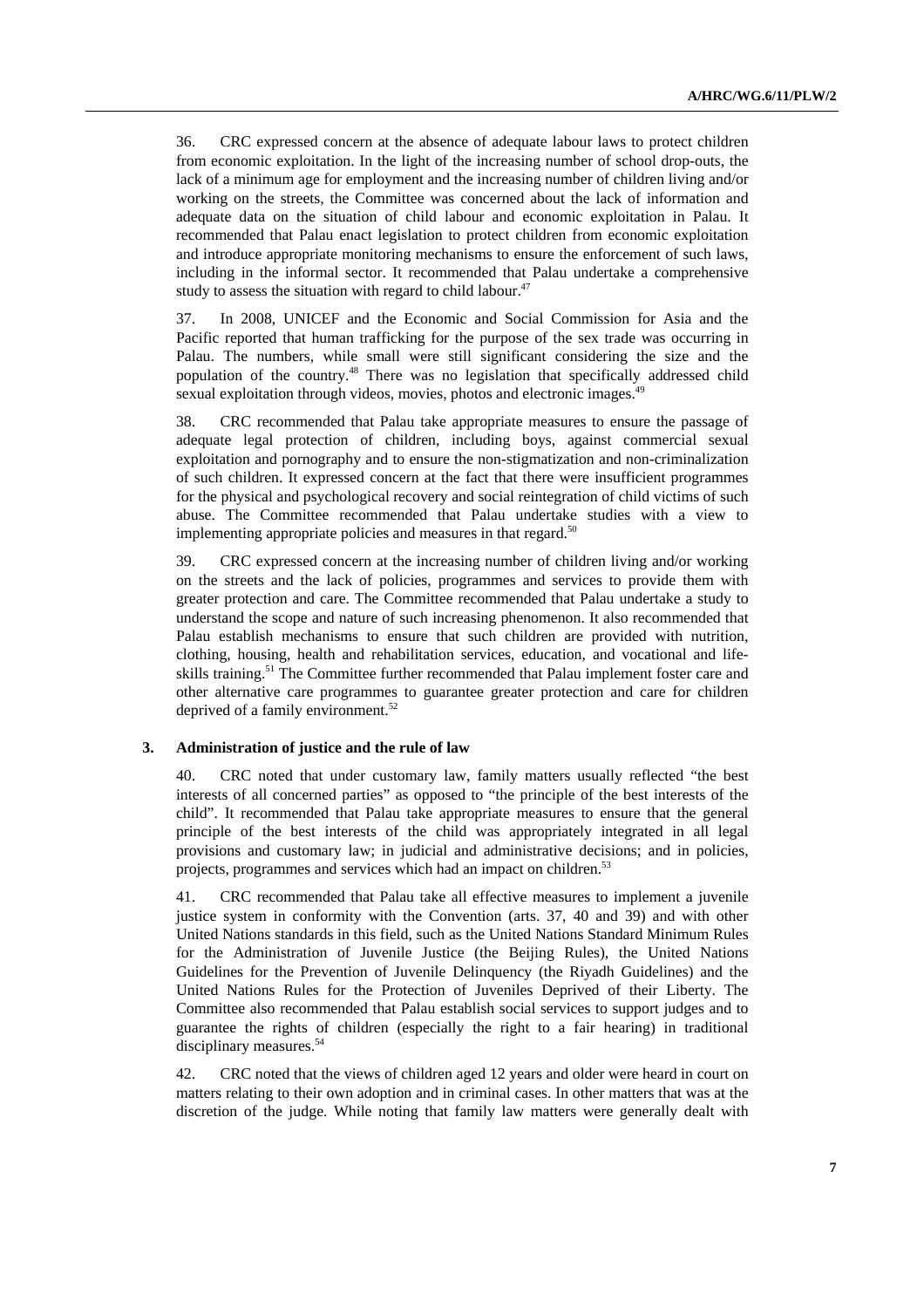36. CRC expressed concern at the absence of adequate labour laws to protect children from economic exploitation. In the light of the increasing number of school drop-outs, the lack of a minimum age for employment and the increasing number of children living and/or working on the streets, the Committee was concerned about the lack of information and adequate data on the situation of child labour and economic exploitation in Palau. It recommended that Palau enact legislation to protect children from economic exploitation and introduce appropriate monitoring mechanisms to ensure the enforcement of such laws, including in the informal sector. It recommended that Palau undertake a comprehensive study to assess the situation with regard to child labour. $47$ 

37. In 2008, UNICEF and the Economic and Social Commission for Asia and the Pacific reported that human trafficking for the purpose of the sex trade was occurring in Palau. The numbers, while small were still significant considering the size and the population of the country.48 There was no legislation that specifically addressed child sexual exploitation through videos, movies, photos and electronic images.<sup>49</sup>

38. CRC recommended that Palau take appropriate measures to ensure the passage of adequate legal protection of children, including boys, against commercial sexual exploitation and pornography and to ensure the non-stigmatization and non-criminalization of such children. It expressed concern at the fact that there were insufficient programmes for the physical and psychological recovery and social reintegration of child victims of such abuse. The Committee recommended that Palau undertake studies with a view to implementing appropriate policies and measures in that regard.<sup>50</sup>

39. CRC expressed concern at the increasing number of children living and/or working on the streets and the lack of policies, programmes and services to provide them with greater protection and care. The Committee recommended that Palau undertake a study to understand the scope and nature of such increasing phenomenon. It also recommended that Palau establish mechanisms to ensure that such children are provided with nutrition, clothing, housing, health and rehabilitation services, education, and vocational and lifeskills training.<sup>51</sup> The Committee further recommended that Palau implement foster care and other alternative care programmes to guarantee greater protection and care for children deprived of a family environment.<sup>52</sup>

#### **3. Administration of justice and the rule of law**

40. CRC noted that under customary law, family matters usually reflected "the best interests of all concerned parties" as opposed to "the principle of the best interests of the child". It recommended that Palau take appropriate measures to ensure that the general principle of the best interests of the child was appropriately integrated in all legal provisions and customary law; in judicial and administrative decisions; and in policies, projects, programmes and services which had an impact on children.<sup>53</sup>

41. CRC recommended that Palau take all effective measures to implement a juvenile justice system in conformity with the Convention (arts. 37, 40 and 39) and with other United Nations standards in this field, such as the United Nations Standard Minimum Rules for the Administration of Juvenile Justice (the Beijing Rules), the United Nations Guidelines for the Prevention of Juvenile Delinquency (the Riyadh Guidelines) and the United Nations Rules for the Protection of Juveniles Deprived of their Liberty. The Committee also recommended that Palau establish social services to support judges and to guarantee the rights of children (especially the right to a fair hearing) in traditional disciplinary measures.<sup>54</sup>

42. CRC noted that the views of children aged 12 years and older were heard in court on matters relating to their own adoption and in criminal cases. In other matters that was at the discretion of the judge. While noting that family law matters were generally dealt with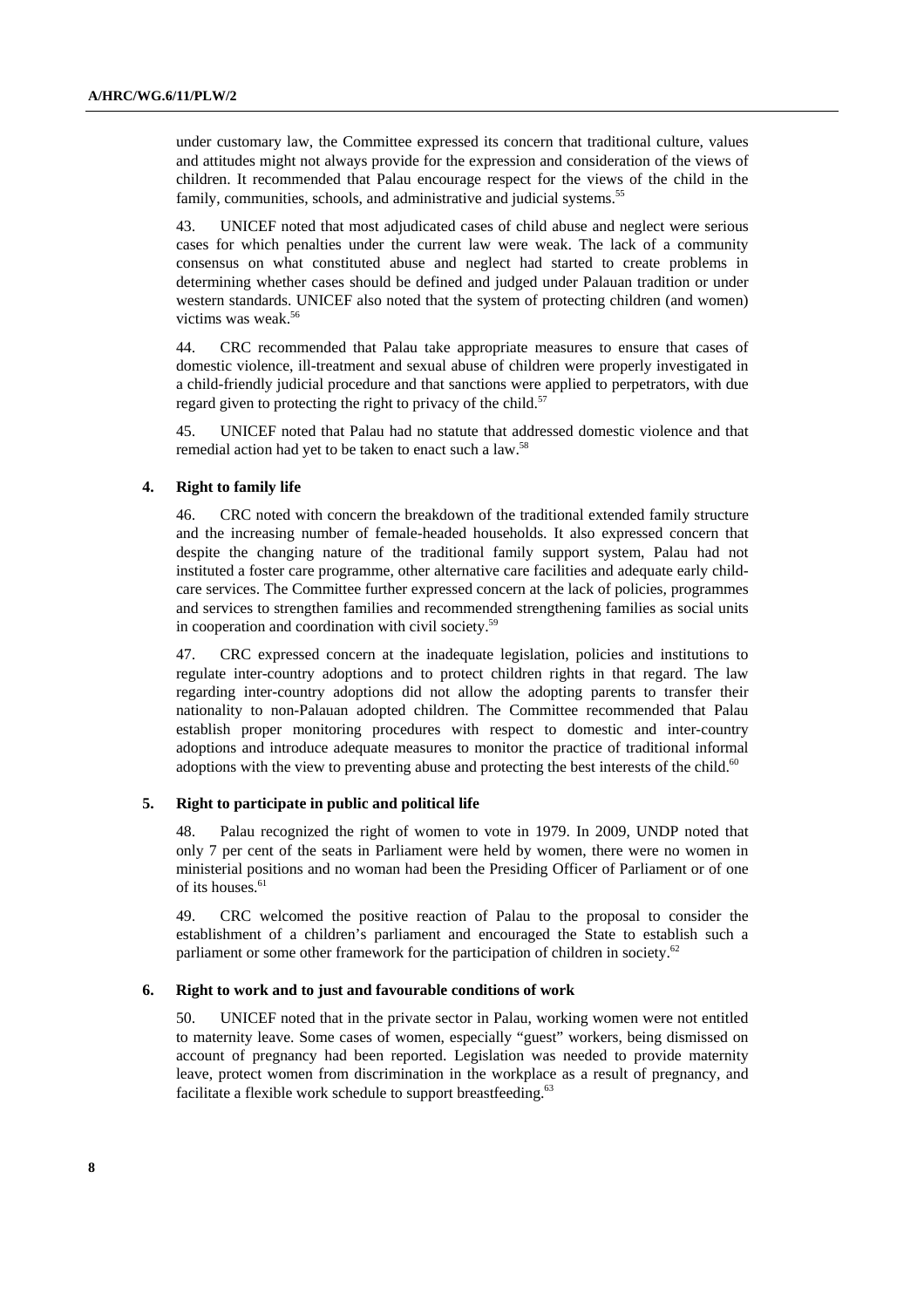under customary law, the Committee expressed its concern that traditional culture, values and attitudes might not always provide for the expression and consideration of the views of children. It recommended that Palau encourage respect for the views of the child in the family, communities, schools, and administrative and judicial systems.<sup>55</sup>

43. UNICEF noted that most adjudicated cases of child abuse and neglect were serious cases for which penalties under the current law were weak. The lack of a community consensus on what constituted abuse and neglect had started to create problems in determining whether cases should be defined and judged under Palauan tradition or under western standards. UNICEF also noted that the system of protecting children (and women) victims was weak.56

44. CRC recommended that Palau take appropriate measures to ensure that cases of domestic violence, ill-treatment and sexual abuse of children were properly investigated in a child-friendly judicial procedure and that sanctions were applied to perpetrators, with due regard given to protecting the right to privacy of the child.<sup>57</sup>

45. UNICEF noted that Palau had no statute that addressed domestic violence and that remedial action had yet to be taken to enact such a law.58

#### **4. Right to family life**

46. CRC noted with concern the breakdown of the traditional extended family structure and the increasing number of female-headed households. It also expressed concern that despite the changing nature of the traditional family support system, Palau had not instituted a foster care programme, other alternative care facilities and adequate early childcare services. The Committee further expressed concern at the lack of policies, programmes and services to strengthen families and recommended strengthening families as social units in cooperation and coordination with civil society.<sup>59</sup>

47. CRC expressed concern at the inadequate legislation, policies and institutions to regulate inter-country adoptions and to protect children rights in that regard. The law regarding inter-country adoptions did not allow the adopting parents to transfer their nationality to non-Palauan adopted children. The Committee recommended that Palau establish proper monitoring procedures with respect to domestic and inter-country adoptions and introduce adequate measures to monitor the practice of traditional informal adoptions with the view to preventing abuse and protecting the best interests of the child. $60$ 

#### **5. Right to participate in public and political life**

48. Palau recognized the right of women to vote in 1979. In 2009, UNDP noted that only 7 per cent of the seats in Parliament were held by women, there were no women in ministerial positions and no woman had been the Presiding Officer of Parliament or of one of its houses.<sup>61</sup>

49. CRC welcomed the positive reaction of Palau to the proposal to consider the establishment of a children's parliament and encouraged the State to establish such a parliament or some other framework for the participation of children in society.<sup>62</sup>

#### **6. Right to work and to just and favourable conditions of work**

50. UNICEF noted that in the private sector in Palau, working women were not entitled to maternity leave. Some cases of women, especially "guest" workers, being dismissed on account of pregnancy had been reported. Legislation was needed to provide maternity leave, protect women from discrimination in the workplace as a result of pregnancy, and facilitate a flexible work schedule to support breastfeeding.<sup>63</sup>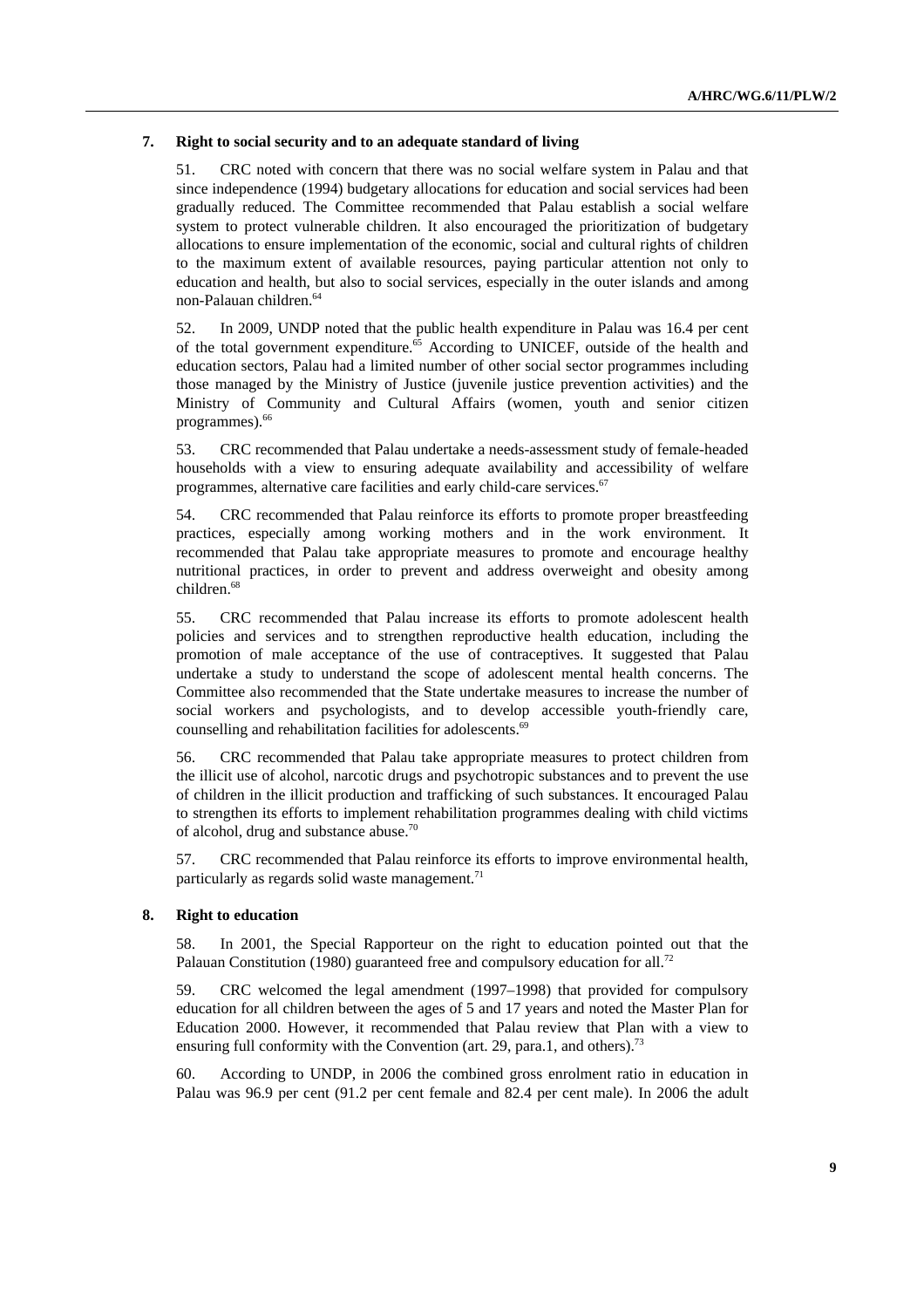#### **7. Right to social security and to an adequate standard of living**

51. CRC noted with concern that there was no social welfare system in Palau and that since independence (1994) budgetary allocations for education and social services had been gradually reduced. The Committee recommended that Palau establish a social welfare system to protect vulnerable children. It also encouraged the prioritization of budgetary allocations to ensure implementation of the economic, social and cultural rights of children to the maximum extent of available resources, paying particular attention not only to education and health, but also to social services, especially in the outer islands and among non-Palauan children.64

52. In 2009, UNDP noted that the public health expenditure in Palau was 16.4 per cent of the total government expenditure.<sup>65</sup> According to UNICEF, outside of the health and education sectors, Palau had a limited number of other social sector programmes including those managed by the Ministry of Justice (juvenile justice prevention activities) and the Ministry of Community and Cultural Affairs (women, youth and senior citizen programmes).<sup>66</sup>

53. CRC recommended that Palau undertake a needs-assessment study of female-headed households with a view to ensuring adequate availability and accessibility of welfare programmes, alternative care facilities and early child-care services.<sup>67</sup>

54. CRC recommended that Palau reinforce its efforts to promote proper breastfeeding practices, especially among working mothers and in the work environment. It recommended that Palau take appropriate measures to promote and encourage healthy nutritional practices, in order to prevent and address overweight and obesity among children.<sup>68</sup>

55. CRC recommended that Palau increase its efforts to promote adolescent health policies and services and to strengthen reproductive health education, including the promotion of male acceptance of the use of contraceptives. It suggested that Palau undertake a study to understand the scope of adolescent mental health concerns. The Committee also recommended that the State undertake measures to increase the number of social workers and psychologists, and to develop accessible youth-friendly care, counselling and rehabilitation facilities for adolescents.<sup>69</sup>

56. CRC recommended that Palau take appropriate measures to protect children from the illicit use of alcohol, narcotic drugs and psychotropic substances and to prevent the use of children in the illicit production and trafficking of such substances. It encouraged Palau to strengthen its efforts to implement rehabilitation programmes dealing with child victims of alcohol, drug and substance abuse.70

57. CRC recommended that Palau reinforce its efforts to improve environmental health, particularly as regards solid waste management.<sup>71</sup>

#### **8. Right to education**

58. In 2001, the Special Rapporteur on the right to education pointed out that the Palauan Constitution (1980) guaranteed free and compulsory education for all.<sup>72</sup>

59. CRC welcomed the legal amendment (1997–1998) that provided for compulsory education for all children between the ages of 5 and 17 years and noted the Master Plan for Education 2000. However, it recommended that Palau review that Plan with a view to ensuring full conformity with the Convention (art. 29, para.1, and others).<sup>73</sup>

60. According to UNDP, in 2006 the combined gross enrolment ratio in education in Palau was 96.9 per cent (91.2 per cent female and 82.4 per cent male). In 2006 the adult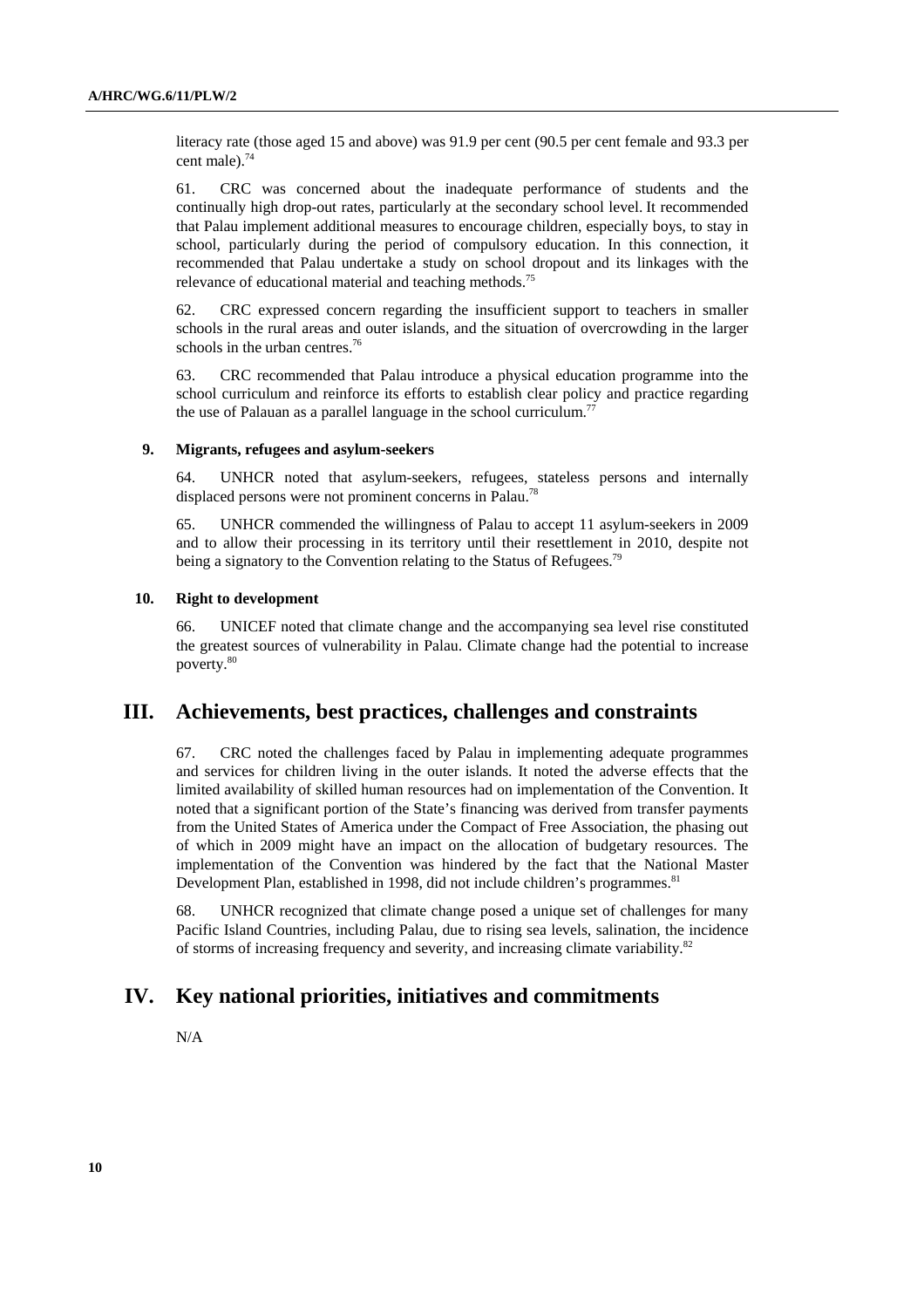literacy rate (those aged 15 and above) was 91.9 per cent (90.5 per cent female and 93.3 per cent male).<sup>74</sup>

61. CRC was concerned about the inadequate performance of students and the continually high drop-out rates, particularly at the secondary school level. It recommended that Palau implement additional measures to encourage children, especially boys, to stay in school, particularly during the period of compulsory education. In this connection, it recommended that Palau undertake a study on school dropout and its linkages with the relevance of educational material and teaching methods.<sup>75</sup>

62. CRC expressed concern regarding the insufficient support to teachers in smaller schools in the rural areas and outer islands, and the situation of overcrowding in the larger schools in the urban centres.<sup>76</sup>

63. CRC recommended that Palau introduce a physical education programme into the school curriculum and reinforce its efforts to establish clear policy and practice regarding the use of Palauan as a parallel language in the school curriculum.<sup>77</sup>

#### **9. Migrants, refugees and asylum-seekers**

64. UNHCR noted that asylum-seekers, refugees, stateless persons and internally displaced persons were not prominent concerns in Palau.<sup>7</sup>

65. UNHCR commended the willingness of Palau to accept 11 asylum-seekers in 2009 and to allow their processing in its territory until their resettlement in 2010, despite not being a signatory to the Convention relating to the Status of Refugees.<sup>79</sup>

#### **10. Right to development**

66. UNICEF noted that climate change and the accompanying sea level rise constituted the greatest sources of vulnerability in Palau. Climate change had the potential to increase poverty.<sup>80</sup>

## **III. Achievements, best practices, challenges and constraints**

67. CRC noted the challenges faced by Palau in implementing adequate programmes and services for children living in the outer islands. It noted the adverse effects that the limited availability of skilled human resources had on implementation of the Convention. It noted that a significant portion of the State's financing was derived from transfer payments from the United States of America under the Compact of Free Association, the phasing out of which in 2009 might have an impact on the allocation of budgetary resources. The implementation of the Convention was hindered by the fact that the National Master Development Plan, established in 1998, did not include children's programmes.<sup>81</sup>

68. UNHCR recognized that climate change posed a unique set of challenges for many Pacific Island Countries, including Palau, due to rising sea levels, salination, the incidence of storms of increasing frequency and severity, and increasing climate variability.82

## **IV. Key national priorities, initiatives and commitments**

N/A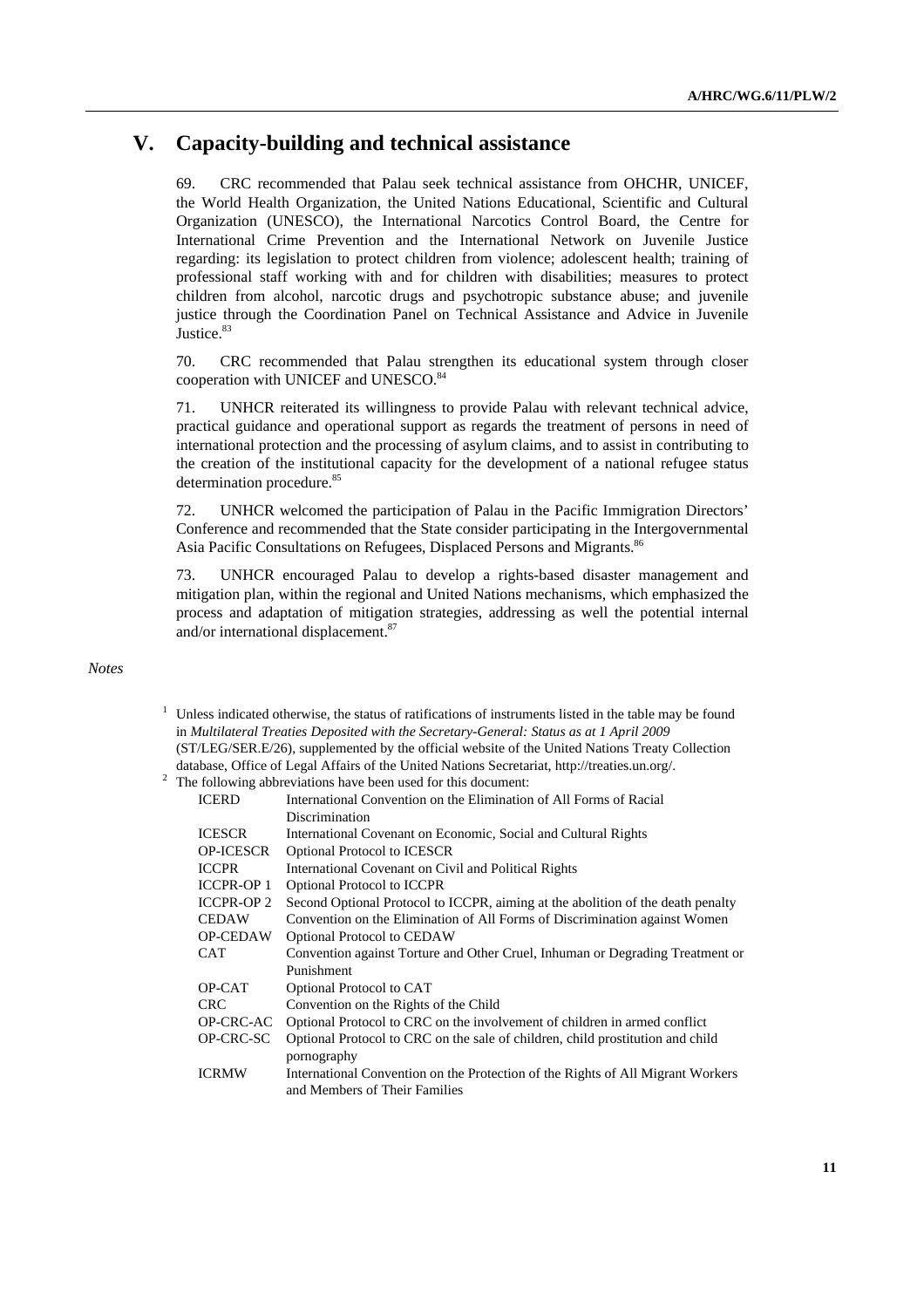# **V. Capacity-building and technical assistance**

69. CRC recommended that Palau seek technical assistance from OHCHR, UNICEF, the World Health Organization, the United Nations Educational, Scientific and Cultural Organization (UNESCO), the International Narcotics Control Board, the Centre for International Crime Prevention and the International Network on Juvenile Justice regarding: its legislation to protect children from violence; adolescent health; training of professional staff working with and for children with disabilities; measures to protect children from alcohol, narcotic drugs and psychotropic substance abuse; and juvenile justice through the Coordination Panel on Technical Assistance and Advice in Juvenile Justice.<sup>83</sup>

70. CRC recommended that Palau strengthen its educational system through closer cooperation with UNICEF and UNESCO.<sup>84</sup>

71. UNHCR reiterated its willingness to provide Palau with relevant technical advice, practical guidance and operational support as regards the treatment of persons in need of international protection and the processing of asylum claims, and to assist in contributing to the creation of the institutional capacity for the development of a national refugee status determination procedure.<sup>85</sup>

72. UNHCR welcomed the participation of Palau in the Pacific Immigration Directors' Conference and recommended that the State consider participating in the Intergovernmental Asia Pacific Consultations on Refugees, Displaced Persons and Migrants.<sup>86</sup>

73. UNHCR encouraged Palau to develop a rights-based disaster management and mitigation plan, within the regional and United Nations mechanisms, which emphasized the process and adaptation of mitigation strategies, addressing as well the potential internal and/or international displacement.<sup>87</sup>

### *Notes*

- $1$  Unless indicated otherwise, the status of ratifications of instruments listed in the table may be found in *Multilateral Treaties Deposited with the Secretary-General: Status as at 1 April 2009* (ST/LEG/SER.E/26), supplemented by the official website of the United Nations Treaty Collection database, Office of Legal Affairs of the United Nations Secretariat, http://treaties.un.org/. 2
- $2\degree$  The following abbreviations have been used for this document:

| <b>ICERD</b>      | International Convention on the Elimination of All Forms of Racial              |
|-------------------|---------------------------------------------------------------------------------|
|                   | Discrimination                                                                  |
| <b>ICESCR</b>     | International Covenant on Economic, Social and Cultural Rights                  |
| <b>OP-ICESCR</b>  | <b>Optional Protocol to ICESCR</b>                                              |
| <b>ICCPR</b>      | International Covenant on Civil and Political Rights                            |
| <b>ICCPR-OP 1</b> | <b>Optional Protocol to ICCPR</b>                                               |
| <b>ICCPR-OP 2</b> | Second Optional Protocol to ICCPR, aiming at the abolition of the death penalty |
| <b>CEDAW</b>      | Convention on the Elimination of All Forms of Discrimination against Women      |
| <b>OP-CEDAW</b>   | <b>Optional Protocol to CEDAW</b>                                               |
| CAT.              | Convention against Torture and Other Cruel, Inhuman or Degrading Treatment or   |
|                   | Punishment                                                                      |
| OP-CAT            | Optional Protocol to CAT                                                        |
| <b>CRC</b>        | Convention on the Rights of the Child                                           |
| OP-CRC-AC         | Optional Protocol to CRC on the involvement of children in armed conflict       |
| OP-CRC-SC         | Optional Protocol to CRC on the sale of children, child prostitution and child  |
|                   | pornography                                                                     |
| <b>ICRMW</b>      | International Convention on the Protection of the Rights of All Migrant Workers |
|                   | and Members of Their Families                                                   |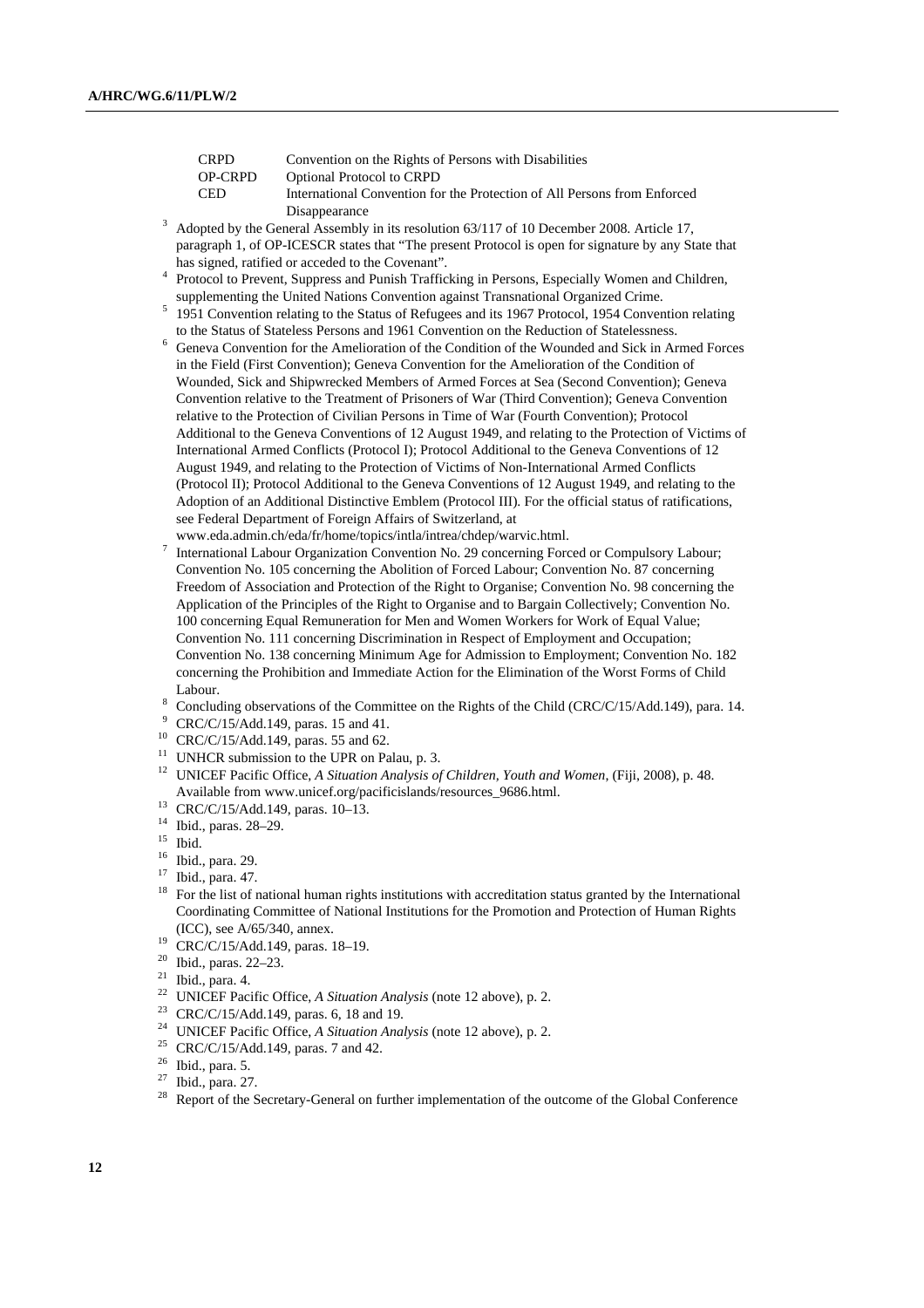| <b>CRPD</b> | Convention on the Rights of Persons with Disabilities                    |
|-------------|--------------------------------------------------------------------------|
| OP-CRPD     | <b>Optional Protocol to CRPD</b>                                         |
| <b>CED</b>  | International Convention for the Protection of All Persons from Enforced |
|             |                                                                          |

Disappearance<br>
<sup>3</sup> Adopted by the General Assembly in its resolution 63/117 of 10 December 2008. Article 17, paragraph 1, of OP-ICESCR states that "The present Protocol is open for signature by any State that has signed, ratified or acceded to the Covenant".

- <sup>4</sup> Protocol to Prevent, Suppress and Punish Trafficking in Persons, Especially Women and Children, supplementing the United Nations Convention against Transnational Organized Crime. 5
- <sup>5</sup> 1951 Convention relating to the Status of Refugees and its 1967 Protocol, 1954 Convention relating to the Status of Stateless Persons and 1961 Convention on the Reduction of Statelessness.
- $6$  Geneva Convention for the Amelioration of the Condition of the Wounded and Sick in Armed Forces in the Field (First Convention); Geneva Convention for the Amelioration of the Condition of Wounded, Sick and Shipwrecked Members of Armed Forces at Sea (Second Convention); Geneva Convention relative to the Treatment of Prisoners of War (Third Convention); Geneva Convention relative to the Protection of Civilian Persons in Time of War (Fourth Convention); Protocol Additional to the Geneva Conventions of 12 August 1949, and relating to the Protection of Victims of International Armed Conflicts (Protocol I); Protocol Additional to the Geneva Conventions of 12 August 1949, and relating to the Protection of Victims of Non-International Armed Conflicts (Protocol II); Protocol Additional to the Geneva Conventions of 12 August 1949, and relating to the Adoption of an Additional Distinctive Emblem (Protocol III). For the official status of ratifications, see Federal Department of Foreign Affairs of Switzerland, at
- www.eda.admin.ch/eda/fr/home/topics/intla/intrea/chdep/warvic.html. 7
- International Labour Organization Convention No. 29 concerning Forced or Compulsory Labour; Convention No. 105 concerning the Abolition of Forced Labour; Convention No. 87 concerning Freedom of Association and Protection of the Right to Organise; Convention No. 98 concerning the Application of the Principles of the Right to Organise and to Bargain Collectively; Convention No. 100 concerning Equal Remuneration for Men and Women Workers for Work of Equal Value; Convention No. 111 concerning Discrimination in Respect of Employment and Occupation; Convention No. 138 concerning Minimum Age for Admission to Employment; Convention No. 182 concerning the Prohibition and Immediate Action for the Elimination of the Worst Forms of Child Labour.
- Concluding observations of the Committee on the Rights of the Child (CRC/C/15/Add.149), para. 14.
- CRC/C/15/Add.149, paras. 15 and 41.
- 10 CRC/C/15/Add.149, paras. 55 and 62.
- <sup>11</sup> UNHCR submission to the UPR on Palau, p. 3.
- <sup>12</sup> UNICEF Pacific Office, *A Situation Analysis of Children, Youth and Women*, (Fiji, 2008), p. 48. Available from www.unicef.org/pacificislands/resources\_9686.html. 13 CRC/C/15/Add.149, paras. 10–13.
- 
- 14 Ibid., paras. 28–29.
- $15$  Ibid.
- 16 Ibid., para. 29.
- 17 Ibid., para. 47.
- <sup>18</sup> For the list of national human rights institutions with accreditation status granted by the International Coordinating Committee of National Institutions for the Promotion and Protection of Human Rights (ICC), see A/65/340, annex.<br><sup>19</sup> CRC/C/15/Add.149, paras. 18–19.<br><sup>20</sup> Ibid. paras. 22, 23.
- 
- 20 Ibid., paras. 22–23.
- $21$  Ibid., para. 4.
- <sup>22</sup> UNICEF Pacific Office, *A Situation Analysis* (note 12 above), p. 2.<br><sup>23</sup> CRC/C/15/Add.149, paras. 6, 18 and 19.
- 
- <sup>24</sup> UNICEF Pacific Office, *A Situation Analysis* (note 12 above), p. 2.<br><sup>25</sup> CRC/C/15/Add.149, paras. 7 and 42.
- 
- Ibid., para. 5.
- $27$  Ibid., para. 27.
- <sup>28</sup> Report of the Secretary-General on further implementation of the outcome of the Global Conference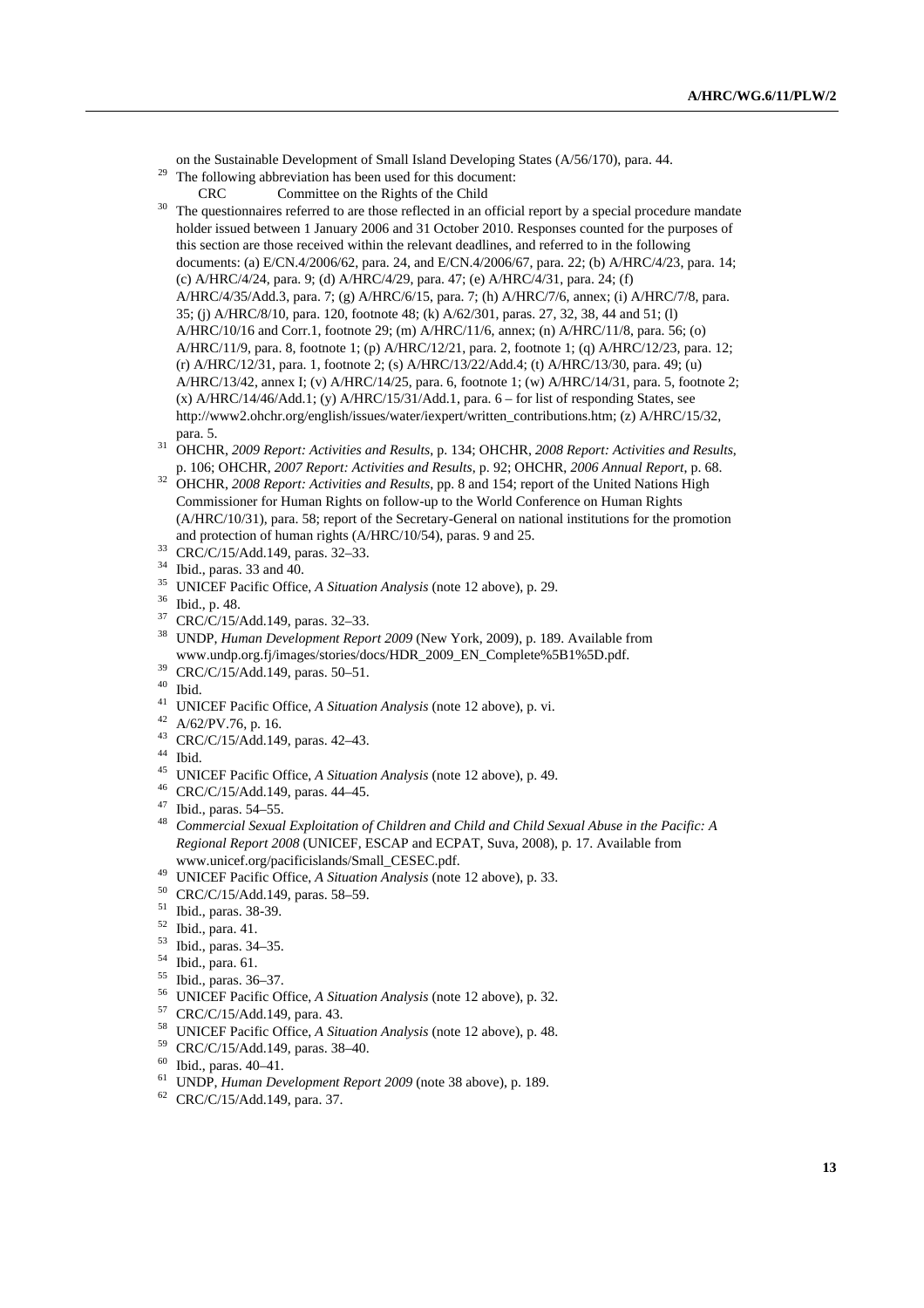on the Sustainable Development of Small Island Developing States (A/56/170), para. 44. 29 The following abbreviation has been used for this document:

- 
- 

CRC Committee on the Rights of the Child<br><sup>30</sup> The questionnaires referred to are those reflected in an official report by a special procedure mandate holder issued between 1 January 2006 and 31 October 2010. Responses counted for the purposes of this section are those received within the relevant deadlines, and referred to in the following documents: (a) E/CN.4/2006/62, para. 24, and E/CN.4/2006/67, para. 22; (b) A/HRC/4/23, para. 14; (c) A/HRC/4/24, para. 9; (d) A/HRC/4/29, para. 47; (e) A/HRC/4/31, para. 24; (f) A/HRC/4/35/Add.3, para. 7; (g) A/HRC/6/15, para. 7; (h) A/HRC/7/6, annex; (i) A/HRC/7/8, para. 35; (j) A/HRC/8/10, para. 120, footnote 48; (k) A/62/301, paras. 27, 32, 38, 44 and 51; (l) A/HRC/10/16 and Corr.1, footnote 29; (m) A/HRC/11/6, annex; (n) A/HRC/11/8, para. 56; (o) A/HRC/11/9, para. 8, footnote 1; (p) A/HRC/12/21, para. 2, footnote 1; (q) A/HRC/12/23, para. 12; (r) A/HRC/12/31, para. 1, footnote 2; (s) A/HRC/13/22/Add.4; (t) A/HRC/13/30, para. 49; (u) A/HRC/13/42, annex I; (v) A/HRC/14/25, para. 6, footnote 1; (w) A/HRC/14/31, para. 5, footnote 2;  $(x)$  A/HRC/14/46/Add.1;  $(y)$  A/HRC/15/31/Add.1, para.  $6 -$  for list of responding States, see http://www2.ohchr.org/english/issues/water/iexpert/written\_contributions.htm; (z) A/HRC/15/32,

- para. 5. 31 OHCHR, *2009 Report: Activities and Results*, p. 134; OHCHR, *2008 Report: Activities and Results*,
- p. 106; OHCHR, *2007 Report: Activities and Results*, p. 92; OHCHR, *2006 Annual Report*, p. 68. 32 OHCHR, *2008 Report: Activities and Results*, pp. 8 and 154; report of the United Nations High Commissioner for Human Rights on follow-up to the World Conference on Human Rights (A/HRC/10/31), para. 58; report of the Secretary-General on national institutions for the promotion and protection of human rights (A/HRC/10/54), paras. 9 and 25.  $CRC/C/15/Add.149$ , paras. 32–33.
- 
- 34 Ibid., paras. 33 and 40.
- <sup>35</sup> UNICEF Pacific Office, *A Situation Analysis* (note 12 above), p. 29.<br><sup>36</sup> Ibid., p. 48.
- 
- 37 CRC/C/15/Add.149, paras. 32–33.
- 38 UNDP, *Human Development Report 2009* (New York, 2009), p. 189. Available from www.undp.org.fj/images/stories/docs/HDR\_2009\_EN\_Complete%5B1%5D.pdf. 39 CRC/C/15/Add.149, paras. 50–51.
- 
- 40 Ibid.
- 41 UNICEF Pacific Office, *A Situation Analysis* (note 12 above), p. vi. 42 A/62/PV.76, p. 16.
- 
- 43 CRC/C/15/Add.149, paras. 42–43.
- 44 Ibid.
- 45 UNICEF Pacific Office, *A Situation Analysis* (note 12 above), p. 49. 46 CRC/C/15/Add.149, paras. 44–45.
- 
- 47 Ibid., paras. 54–55.
- <sup>48</sup> *Commercial Sexual Exploitation of Children and Child and Child Sexual Abuse in the Pacific: A Regional Report 2008* (UNICEF, ESCAP and ECPAT, Suva, 2008), p. 17. Available from www.unicef.org/pacificislands/Small\_CESEC.pdf. 49 UNICEF Pacific Office, *A Situation Analysis* (note 12 above), p. 33. 50 CRC/C/15/Add.149, paras. 58–59.
- 
- 
- 51 Ibid., paras. 38-39.
- 52 Ibid., para. 41.
- 53 Ibid., paras. 34–35.
- 54 Ibid., para. 61.
- 55 Ibid., paras. 36–37.
- 56 UNICEF Pacific Office, *A Situation Analysis* (note 12 above), p. 32. 57 CRC/C/15/Add.149, para. 43.
- 
- 58 UNICEF Pacific Office, *A Situation Analysis* (note 12 above), p. 48. 59 CRC/C/15/Add.149, paras. 38–40.
- 
- 60 Ibid., paras. 40–41.
- 61 UNDP, *Human Development Report 2009* (note 38 above), p. 189. 62 CRC/C/15/Add.149, para. 37.
-